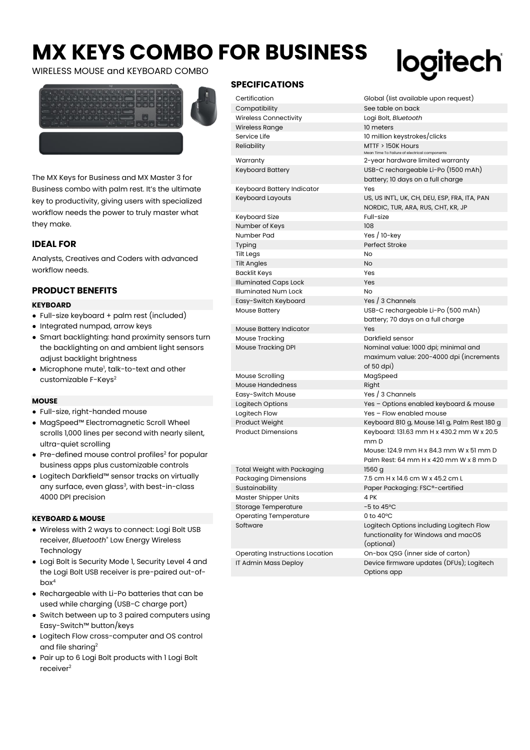# **MX KEYS COMBO FOR BUSINESS**

WIRELESS MOUSE and KEYBOARD COMBO



The MX Keys for Business and MX Master 3 for Business combo with palm rest. It's the ultimate key to productivity, giving users with specialized workflow needs the power to truly master what they make.

# **IDEAL FOR**

Analysts, Creatives and Coders with advanced workflow needs.

# **PRODUCT BENEFITS**

#### **KEYBOARD**

- Full-size keyboard + palm rest (included)
- Integrated numpad, arrow keys
- Smart backlighting: hand proximity sensors turn the backlighting on and ambient light sensors adjust backlight brightness
- $\bullet\,$  Microphone mute $^!$ , talk-to-text and other customizable F-Keys<sup>2</sup>

## **MOUSE**

- Full-size, right-handed mouse
- MagSpeed™ Electromagnetic Scroll Wheel scrolls 1,000 lines per second with nearly silent, ultra-quiet scrolling
- $\bullet\,$  Pre-defined mouse control profiles $^2$  for popular business apps plus customizable controls
- Logitech Darkfield™ sensor tracks on virtually any surface, even glass<sup>3</sup>, with best-in-class 4000 DPI precision

### **KEYBOARD & MOUSE**

- Wireless with 2 ways to connect: Logi Bolt USB receiver, *Bluetooth*® Low Energy Wireless **Technology**
- Logi Bolt is Security Mode 1, Security Level 4 and the Logi Bolt USB receiver is pre-paired out-ofbox<sup>4</sup>
- Rechargeable with Li-Po batteries that can be used while charging (USB-C charge port)
- Switch between up to 3 paired computers using Easy-Switch™ button/keys
- Logitech Flow cross-computer and OS control and file sharing<sup>2</sup>
- Pair up to 6 Logi Bolt products with 1 Logi Bolt receiver<sup>2</sup>

# **SPECIFICATIONS**

# logitech

| Certification                   | Global (list available upon request)                                                          |  |
|---------------------------------|-----------------------------------------------------------------------------------------------|--|
| Compatibility                   | See table on back                                                                             |  |
| Wireless Connectivity           | Logi Bolt, <i>Bluetooth</i>                                                                   |  |
| Wireless Range                  | 10 meters                                                                                     |  |
| Service Life                    | 10 million keystrokes/clicks                                                                  |  |
| Reliability                     | $MTTF > 150K$ Hours<br>Mean Time To Failure of electrical components                          |  |
| Warranty                        | 2-year hardware limited warranty                                                              |  |
| Keyboard Battery                | USB-C rechargeable Li-Po (1500 mAh)<br>battery; 10 days on a full charge                      |  |
| Keyboard Battery Indicator      | Yes                                                                                           |  |
| Keyboard Layouts                | US, US INT'L, UK, CH, DEU, ESP, FRA, ITA, PAN<br>NORDIC, TUR, ARA, RUS, CHT, KR, JP           |  |
| Keyboard Size                   | Full-size                                                                                     |  |
| Number of Keys                  | 108                                                                                           |  |
| Number Pad                      | Yes $/10$ -key                                                                                |  |
| Typing                          | Perfect Stroke                                                                                |  |
| <b>Tilt Legs</b>                | No                                                                                            |  |
| <b>Tilt Angles</b>              | No                                                                                            |  |
| Backlit Keys                    | Yes                                                                                           |  |
| Illuminated Caps Lock           | Yes                                                                                           |  |
| Illuminated Num Lock            | N <sub>O</sub>                                                                                |  |
| Easy-Switch Keyboard            | Yes / 3 Channels                                                                              |  |
| <b>Mouse Battery</b>            | USB-C rechargeable Li-Po (500 mAh)                                                            |  |
|                                 | battery; 70 days on a full charge                                                             |  |
| <b>Mouse Battery Indicator</b>  | Yes                                                                                           |  |
| Mouse Tracking                  | Darkfield sensor                                                                              |  |
| Mouse Tracking DPI              | Nominal value: 1000 dpi; minimal and<br>maximum value: 200-4000 dpi (increments<br>of 50 dpi) |  |
| Mouse Scrolling                 | MagSpeed                                                                                      |  |
| <b>Mouse Handedness</b>         | Right                                                                                         |  |
| Easy-Switch Mouse               | Yes / 3 Channels                                                                              |  |
| Logitech Options                | Yes - Options enabled keyboard & mouse                                                        |  |
| Logitech Flow                   | Yes - Flow enabled mouse                                                                      |  |
| Product Weight                  | Keyboard 810 g, Mouse 141 g, Palm Rest 180 g                                                  |  |
| <b>Product Dimensions</b>       | Keyboard: 131.63 mm H x 430.2 mm W x 20.5<br>mm D                                             |  |
|                                 | Mouse: 124.9 mm H x 84.3 mm W x 51 mm D<br>Palm Rest: 64 mm H x 420 mm W x 8 mm D             |  |
| Total Weight with Packaging     | 1560 g                                                                                        |  |
| Packaging Dimensions            | 7.5 cm H x 14.6 cm W x 45.2 cm L                                                              |  |
| Sustainability                  | Paper Packaging: FSC®-certified                                                               |  |
| Master Shipper Units            | 4 PK                                                                                          |  |
| Storage Temperature             | $-5$ to 45 $^{\circ}$ C                                                                       |  |
| Operating Temperature           | 0 to $40^{\circ}$ C                                                                           |  |
| Software                        | Logitech Options including Logitech Flow<br>functionality for Windows and macOS<br>(optional) |  |
| Operating Instructions Location | On-box QSG (inner side of carton)                                                             |  |
| IT Admin Mass Deploy            | Device firmware updates (DFUs); Logitech<br>Options app                                       |  |